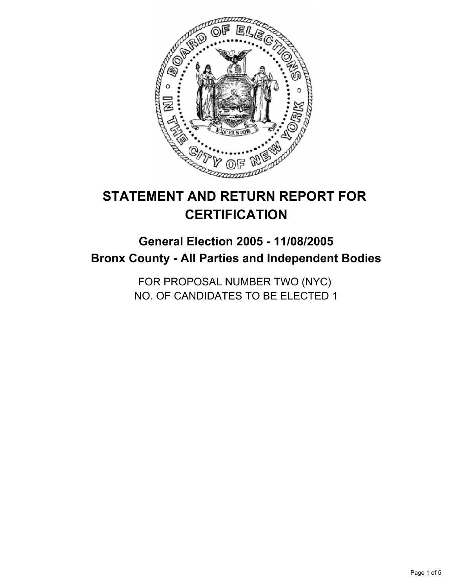

# **STATEMENT AND RETURN REPORT FOR CERTIFICATION**

## **General Election 2005 - 11/08/2005 Bronx County - All Parties and Independent Bodies**

FOR PROPOSAL NUMBER TWO (NYC) NO. OF CANDIDATES TO BE ELECTED 1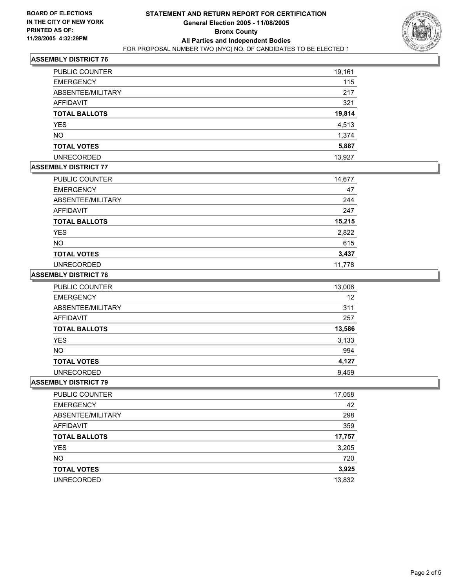

## **ASSEMBLY DISTRICT 76**

| <b>PUBLIC COUNTER</b> | 19,161 |
|-----------------------|--------|
| <b>EMERGENCY</b>      | 115    |
| ABSENTEE/MILITARY     | 217    |
| AFFIDAVIT             | 321    |
| <b>TOTAL BALLOTS</b>  | 19,814 |
| <b>YES</b>            | 4,513  |
| <b>NO</b>             | 1,374  |
| <b>TOTAL VOTES</b>    | 5,887  |
| <b>UNRECORDED</b>     | 13,927 |

## **ASSEMBLY DISTRICT 77**

| PUBLIC COUNTER       | 14,677 |
|----------------------|--------|
| <b>EMERGENCY</b>     | 47     |
| ABSENTEE/MILITARY    | 244    |
| AFFIDAVIT            | 247    |
| <b>TOTAL BALLOTS</b> | 15,215 |
| <b>YES</b>           | 2,822  |
| <b>NO</b>            | 615    |
| <b>TOTAL VOTES</b>   | 3,437  |
| <b>UNRECORDED</b>    | 11.778 |

#### **ASSEMBLY DISTRICT 78**

| <b>PUBLIC COUNTER</b> | 13,006 |
|-----------------------|--------|
| <b>EMERGENCY</b>      | 12     |
| ABSENTEE/MILITARY     | 311    |
| AFFIDAVIT             | 257    |
| <b>TOTAL BALLOTS</b>  | 13,586 |
| <b>YES</b>            | 3,133  |
| <b>NO</b>             | 994    |
| <b>TOTAL VOTES</b>    | 4,127  |
| <b>UNRECORDED</b>     | 9,459  |

#### **ASSEMBLY DISTRICT 79**

| PUBLIC COUNTER       | 17,058 |
|----------------------|--------|
| <b>EMERGENCY</b>     | 42     |
| ABSENTEE/MILITARY    | 298    |
| AFFIDAVIT            | 359    |
| <b>TOTAL BALLOTS</b> | 17,757 |
| <b>YES</b>           | 3,205  |
| <b>NO</b>            | 720    |
| <b>TOTAL VOTES</b>   | 3,925  |
| <b>UNRECORDED</b>    | 13,832 |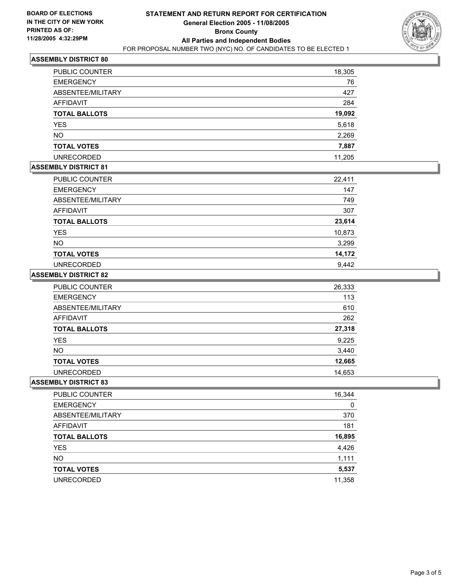

## **ASSEMBLY DISTRICT 80**

| <b>PUBLIC COUNTER</b> | 18,305 |
|-----------------------|--------|
| <b>EMERGENCY</b>      | 76     |
| ABSENTEE/MILITARY     | 427    |
| <b>AFFIDAVIT</b>      | 284    |
| <b>TOTAL BALLOTS</b>  | 19,092 |
| YES                   | 5,618  |
| <b>NO</b>             | 2,269  |
| <b>TOTAL VOTES</b>    | 7,887  |
| <b>UNRECORDED</b>     | 11,205 |

## **ASSEMBLY DISTRICT 81**

| PUBLIC COUNTER       | 22,411 |
|----------------------|--------|
| <b>EMERGENCY</b>     | 147    |
| ABSENTEE/MILITARY    | 749    |
| <b>AFFIDAVIT</b>     | 307    |
| <b>TOTAL BALLOTS</b> | 23,614 |
| <b>YES</b>           | 10,873 |
| <b>NO</b>            | 3,299  |
| <b>TOTAL VOTES</b>   | 14,172 |
| <b>UNRECORDED</b>    | 9,442  |

#### **ASSEMBLY DISTRICT 82**

| PUBLIC COUNTER       | 26,333 |
|----------------------|--------|
| <b>EMERGENCY</b>     | 113    |
| ABSENTEE/MILITARY    | 610    |
| AFFIDAVIT            | 262    |
| <b>TOTAL BALLOTS</b> | 27,318 |
| <b>YES</b>           | 9,225  |
| <b>NO</b>            | 3,440  |
| <b>TOTAL VOTES</b>   | 12,665 |
| <b>UNRECORDED</b>    | 14,653 |

#### **ASSEMBLY DISTRICT 83**

| <b>PUBLIC COUNTER</b> | 16,344 |
|-----------------------|--------|
| <b>EMERGENCY</b>      | 0      |
| ABSENTEE/MILITARY     | 370    |
| AFFIDAVIT             | 181    |
| <b>TOTAL BALLOTS</b>  | 16,895 |
| <b>YES</b>            | 4,426  |
| <b>NO</b>             | 1,111  |
| <b>TOTAL VOTES</b>    | 5,537  |
| <b>UNRECORDED</b>     | 11,358 |
|                       |        |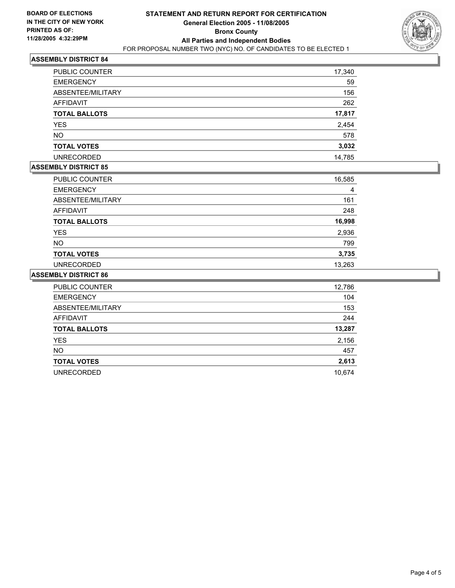

## **ASSEMBLY DISTRICT 84**

| <b>PUBLIC COUNTER</b> | 17,340 |
|-----------------------|--------|
| <b>EMERGENCY</b>      | 59     |
| ABSENTEE/MILITARY     | 156    |
| <b>AFFIDAVIT</b>      | 262    |
| <b>TOTAL BALLOTS</b>  | 17,817 |
| <b>YES</b>            | 2,454  |
| <b>NO</b>             | 578    |
| <b>TOTAL VOTES</b>    | 3,032  |
| <b>UNRECORDED</b>     | 14,785 |

## **ASSEMBLY DISTRICT 85**

| PUBLIC COUNTER       | 16,585 |
|----------------------|--------|
| <b>EMERGENCY</b>     | 4      |
| ABSENTEE/MILITARY    | 161    |
| AFFIDAVIT            | 248    |
| <b>TOTAL BALLOTS</b> | 16,998 |
| <b>YES</b>           | 2,936  |
| <b>NO</b>            | 799    |
| <b>TOTAL VOTES</b>   | 3,735  |
| <b>UNRECORDED</b>    | 13,263 |

#### **ASSEMBLY DISTRICT 86**

| PUBLIC COUNTER       | 12,786 |
|----------------------|--------|
| <b>EMERGENCY</b>     | 104    |
| ABSENTEE/MILITARY    | 153    |
| <b>AFFIDAVIT</b>     | 244    |
| <b>TOTAL BALLOTS</b> | 13,287 |
| <b>YES</b>           | 2,156  |
| <b>NO</b>            | 457    |
| <b>TOTAL VOTES</b>   | 2,613  |
| <b>UNRECORDED</b>    | 10,674 |